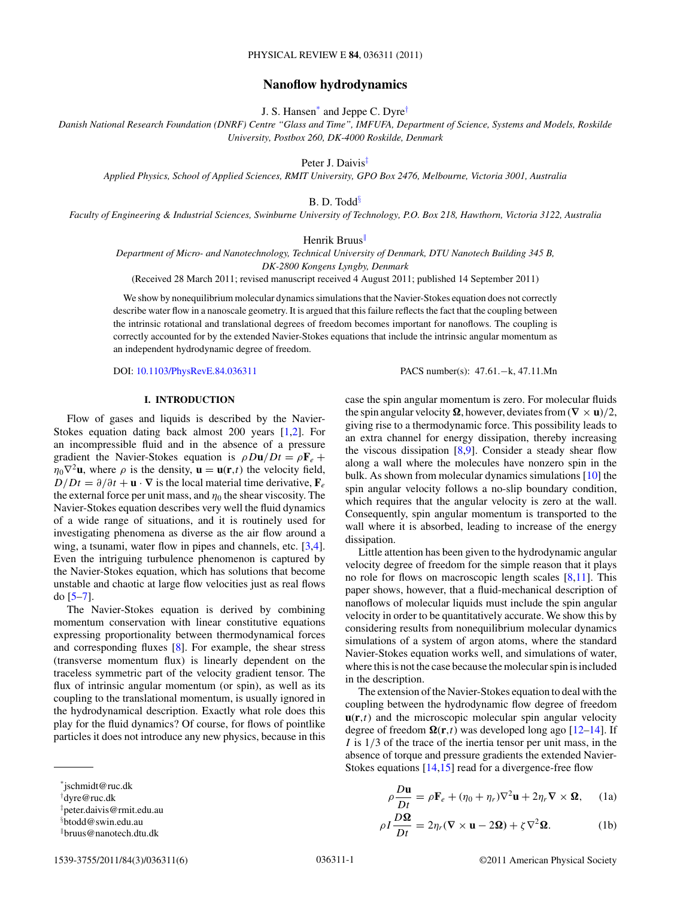# **Nanoflow hydrodynamics**

J. S. Hansen\* and Jeppe C. Dyre†

<span id="page-0-0"></span>*Danish National Research Foundation (DNRF) Centre "Glass and Time", IMFUFA, Department of Science, Systems and Models, Roskilde University, Postbox 260, DK-4000 Roskilde, Denmark*

Peter J. Daivis‡

*Applied Physics, School of Applied Sciences, RMIT University, GPO Box 2476, Melbourne, Victoria 3001, Australia*

B. D. Todd<sup>§</sup>

*Faculty of Engineering & Industrial Sciences, Swinburne University of Technology, P.O. Box 218, Hawthorn, Victoria 3122, Australia*

Henrik Bruus<sup>||</sup>

*Department of Micro- and Nanotechnology, Technical University of Denmark, DTU Nanotech Building 345 B, DK-2800 Kongens Lyngby, Denmark*

(Received 28 March 2011; revised manuscript received 4 August 2011; published 14 September 2011)

We show by nonequilibrium molecular dynamics simulations that the Navier-Stokes equation does not correctly describe water flow in a nanoscale geometry. It is argued that this failure reflects the fact that the coupling between the intrinsic rotational and translational degrees of freedom becomes important for nanoflows. The coupling is correctly accounted for by the extended Navier-Stokes equations that include the intrinsic angular momentum as an independent hydrodynamic degree of freedom.

dissipation.

in the description.

DOI: [10.1103/PhysRevE.84.036311](http://dx.doi.org/10.1103/PhysRevE.84.036311) PACS number(s): 47*.*61*.*−k, 47*.*11*.*Mn

case the spin angular momentum is zero. For molecular fluids the spin angular velocity  $\Omega$ , however, deviates from  $(\nabla \times \mathbf{u})/2$ , giving rise to a thermodynamic force. This possibility leads to an extra channel for energy dissipation, thereby increasing the viscous dissipation [\[8,9\]](#page-5-0). Consider a steady shear flow along a wall where the molecules have nonzero spin in the bulk. As shown from molecular dynamics simulations [\[10\]](#page-5-0) the spin angular velocity follows a no-slip boundary condition, which requires that the angular velocity is zero at the wall. Consequently, spin angular momentum is transported to the wall where it is absorbed, leading to increase of the energy

Little attention has been given to the hydrodynamic angular velocity degree of freedom for the simple reason that it plays no role for flows on macroscopic length scales [\[8,11\]](#page-5-0). This paper shows, however, that a fluid-mechanical description of nanoflows of molecular liquids must include the spin angular velocity in order to be quantitatively accurate. We show this by considering results from nonequilibrium molecular dynamics simulations of a system of argon atoms, where the standard Navier-Stokes equation works well, and simulations of water, where this is not the case because the molecular spin is included

The extension of the Navier-Stokes equation to deal with the coupling between the hydrodynamic flow degree of freedom  $\mathbf{u}(\mathbf{r},t)$  and the microscopic molecular spin angular velocity degree of freedom  $\Omega(\mathbf{r},t)$  was developed long ago  $[12-14]$ . If *I* is  $1/3$  of the trace of the inertia tensor per unit mass, in the absence of torque and pressure gradients the extended Navier-Stokes equations [\[14,15\]](#page-5-0) read for a divergence-free flow

# **I. INTRODUCTION**

Flow of gases and liquids is described by the Navier-Stokes equation dating back almost 200 years [\[1,2\]](#page-5-0). For an incompressible fluid and in the absence of a pressure gradient the Navier-Stokes equation is  $\rho Du/Dt = \rho \mathbf{F}_e + \mathbf{F}_e$  $\eta_0 \nabla^2 \mathbf{u}$ , where  $\rho$  is the density,  $\mathbf{u} = \mathbf{u}(\mathbf{r}, t)$  the velocity field,  $D/Dt = \partial/\partial t + \mathbf{u} \cdot \nabla$  is the local material time derivative,  $\mathbf{F}_e$ the external force per unit mass, and  $\eta_0$  the shear viscosity. The Navier-Stokes equation describes very well the fluid dynamics of a wide range of situations, and it is routinely used for investigating phenomena as diverse as the air flow around a wing, a tsunami, water flow in pipes and channels, etc. [\[3,4\]](#page-5-0). Even the intriguing turbulence phenomenon is captured by the Navier-Stokes equation, which has solutions that become unstable and chaotic at large flow velocities just as real flows do [\[5–7\]](#page-5-0).

The Navier-Stokes equation is derived by combining momentum conservation with linear constitutive equations expressing proportionality between thermodynamical forces and corresponding fluxes [\[8\]](#page-5-0). For example, the shear stress (transverse momentum flux) is linearly dependent on the traceless symmetric part of the velocity gradient tensor. The flux of intrinsic angular momentum (or spin), as well as its coupling to the translational momentum, is usually ignored in the hydrodynamical description. Exactly what role does this play for the fluid dynamics? Of course, for flows of pointlike particles it does not introduce any new physics, because in this

 $\rho \frac{D \mathbf{u}}{Dt} = \rho \mathbf{F}_e + (\eta_0 + \eta_r) \nabla^2 \mathbf{u} + 2 \eta_r \nabla \times \mathbf{\Omega}$ *,* (1a)

$$
\rho I \frac{D\Omega}{Dt} = 2\eta_r (\nabla \times \mathbf{u} - 2\Omega) + \zeta \nabla^2 \Omega.
$$
 (1b)

<sup>\*</sup>jschmidt@ruc.dk

<sup>†</sup> dyre@ruc.dk

<sup>‡</sup> peter.daivis@rmit.edu.au

<sup>§</sup> btodd@swin.edu.au

<sup>-</sup>bruus@nanotech.dtu.dk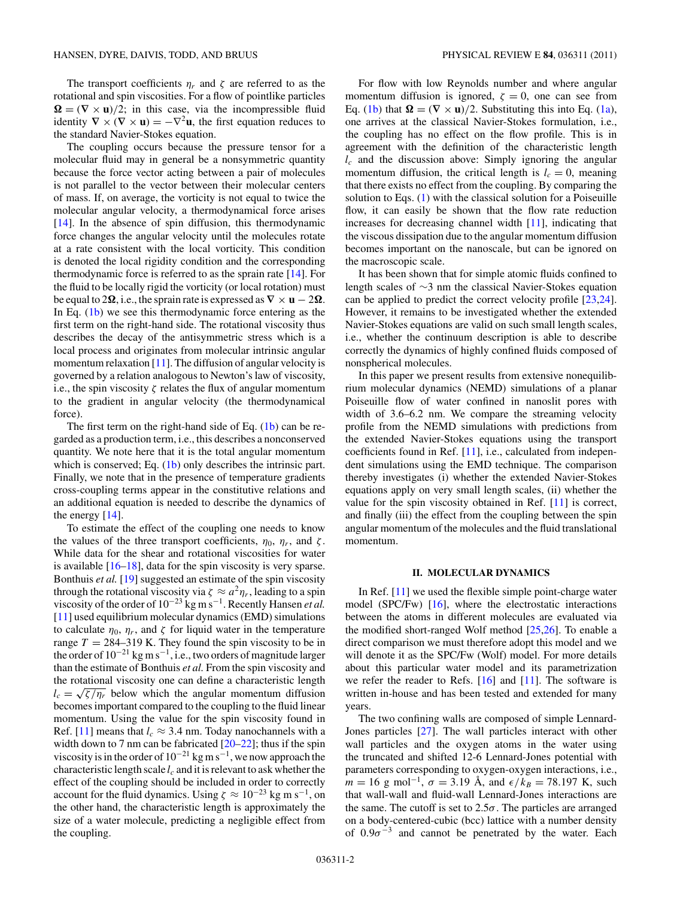The transport coefficients  $\eta_r$  and  $\zeta$  are referred to as the rotational and spin viscosities. For a flow of pointlike particles  $\Omega = (\nabla \times \mathbf{u})/2$ ; in this case, via the incompressible fluid identity  $\nabla \times (\nabla \times \mathbf{u}) = -\nabla^2 \mathbf{u}$ , the first equation reduces to the standard Navier-Stokes equation.

The coupling occurs because the pressure tensor for a molecular fluid may in general be a nonsymmetric quantity because the force vector acting between a pair of molecules is not parallel to the vector between their molecular centers of mass. If, on average, the vorticity is not equal to twice the molecular angular velocity, a thermodynamical force arises [\[14\]](#page-5-0). In the absence of spin diffusion, this thermodynamic force changes the angular velocity until the molecules rotate at a rate consistent with the local vorticity. This condition is denoted the local rigidity condition and the corresponding thermodynamic force is referred to as the sprain rate [\[14\]](#page-5-0). For the fluid to be locally rigid the vorticity (or local rotation) must be equal to 2 $\Omega$ , i.e., the sprain rate is expressed as  $\nabla \times \mathbf{u} - 2\Omega$ . In Eq. [\(1b\)](#page-0-0) we see this thermodynamic force entering as the first term on the right-hand side. The rotational viscosity thus describes the decay of the antisymmetric stress which is a local process and originates from molecular intrinsic angular momentum relaxation [\[11\]](#page-5-0). The diffusion of angular velocity is governed by a relation analogous to Newton's law of viscosity, i.e., the spin viscosity *ζ* relates the flux of angular momentum to the gradient in angular velocity (the thermodynamical force).

The first term on the right-hand side of Eq. [\(1b\)](#page-0-0) can be regarded as a production term, i.e., this describes a nonconserved quantity. We note here that it is the total angular momentum which is conserved; Eq. [\(1b\)](#page-0-0) only describes the intrinsic part. Finally, we note that in the presence of temperature gradients cross-coupling terms appear in the constitutive relations and an additional equation is needed to describe the dynamics of the energy [\[14\]](#page-5-0).

To estimate the effect of the coupling one needs to know the values of the three transport coefficients,  $\eta_0$ ,  $\eta_r$ , and  $\zeta$ . While data for the shear and rotational viscosities for water is available  $[16–18]$ , data for the spin viscosity is very sparse. Bonthuis *et al.* [\[19\]](#page-5-0) suggested an estimate of the spin viscosity through the rotational viscosity via  $\zeta \approx a^2 \eta_r$ , leading to a spin viscosity of the order of  $10^{-23}$  kg m s<sup>-1</sup>. Recently Hansen *et al.* [\[11\]](#page-5-0) used equilibrium molecular dynamics (EMD) simulations to calculate  $\eta_0$ ,  $\eta_r$ , and  $\zeta$  for liquid water in the temperature range  $T = 284 - 319$  K. They found the spin viscosity to be in the order of  $10^{-21}$  kg m s<sup>-1</sup>, i.e., two orders of magnitude larger than the estimate of Bonthuis *et al.* From the spin viscosity and the rotational viscosity one can define a characteristic length  $l_c = \sqrt{\zeta/\eta_r}$  below which the angular momentum diffusion becomes important compared to the coupling to the fluid linear momentum. Using the value for the spin viscosity found in Ref. [\[11\]](#page-5-0) means that  $l_c \approx 3.4$  nm. Today nanochannels with a width down to 7 nm can be fabricated [\[20–22\]](#page-5-0); thus if the spin viscosity is in the order of  $10^{-21}$  kg m s<sup>-1</sup>, we now approach the characteristic length scale  $l_c$  and it is relevant to ask whether the effect of the coupling should be included in order to correctly account for the fluid dynamics. Using  $\zeta \approx 10^{-23}$  kg m s<sup>-1</sup>, on the other hand, the characteristic length is approximately the size of a water molecule, predicting a negligible effect from the coupling.

For flow with low Reynolds number and where angular momentum diffusion is ignored,  $\zeta = 0$ , one can see from Eq. [\(1b\)](#page-0-0) that  $\Omega = (\nabla \times \mathbf{u})/2$ . Substituting this into Eq. [\(1a\)](#page-0-0), one arrives at the classical Navier-Stokes formulation, i.e., the coupling has no effect on the flow profile. This is in agreement with the definition of the characteristic length *lc* and the discussion above: Simply ignoring the angular momentum diffusion, the critical length is  $l_c = 0$ , meaning that there exists no effect from the coupling. By comparing the solution to Eqs. (1) with the classical solution for a Poiseuille flow, it can easily be shown that the flow rate reduction increases for decreasing channel width [\[11\]](#page-5-0), indicating that the viscous dissipation due to the angular momentum diffusion becomes important on the nanoscale, but can be ignored on the macroscopic scale.

It has been shown that for simple atomic fluids confined to length scales of ∼3 nm the classical Navier-Stokes equation can be applied to predict the correct velocity profile [\[23,24\]](#page-5-0). However, it remains to be investigated whether the extended Navier-Stokes equations are valid on such small length scales, i.e., whether the continuum description is able to describe correctly the dynamics of highly confined fluids composed of nonspherical molecules.

In this paper we present results from extensive nonequilibrium molecular dynamics (NEMD) simulations of a planar Poiseuille flow of water confined in nanoslit pores with width of 3.6–6.2 nm. We compare the streaming velocity profile from the NEMD simulations with predictions from the extended Navier-Stokes equations using the transport coefficients found in Ref. [\[11\]](#page-5-0), i.e., calculated from independent simulations using the EMD technique. The comparison thereby investigates (i) whether the extended Navier-Stokes equations apply on very small length scales, (ii) whether the value for the spin viscosity obtained in Ref. [\[11\]](#page-5-0) is correct, and finally (iii) the effect from the coupling between the spin angular momentum of the molecules and the fluid translational momentum.

#### **II. MOLECULAR DYNAMICS**

In Ref. [\[11\]](#page-5-0) we used the flexible simple point-charge water model (SPC/Fw) [\[16\]](#page-5-0), where the electrostatic interactions between the atoms in different molecules are evaluated via the modified short-ranged Wolf method  $[25,26]$ . To enable a direct comparison we must therefore adopt this model and we will denote it as the SPC/Fw (Wolf) model. For more details about this particular water model and its parametrization we refer the reader to Refs. [\[16\]](#page-5-0) and [\[11\]](#page-5-0). The software is written in-house and has been tested and extended for many years.

The two confining walls are composed of simple Lennard-Jones particles [\[27\]](#page-5-0). The wall particles interact with other wall particles and the oxygen atoms in the water using the truncated and shifted 12-6 Lennard-Jones potential with parameters corresponding to oxygen-oxygen interactions, i.e.,  $m = 16$  g mol<sup>-1</sup>,  $\sigma = 3.19$  Å, and  $\epsilon / k_B = 78.197$  K, such that wall-wall and fluid-wall Lennard-Jones interactions are the same. The cutoff is set to  $2.5\sigma$ . The particles are arranged on a body-centered-cubic (bcc) lattice with a number density of  $0.9\sigma^{-3}$  and cannot be penetrated by the water. Each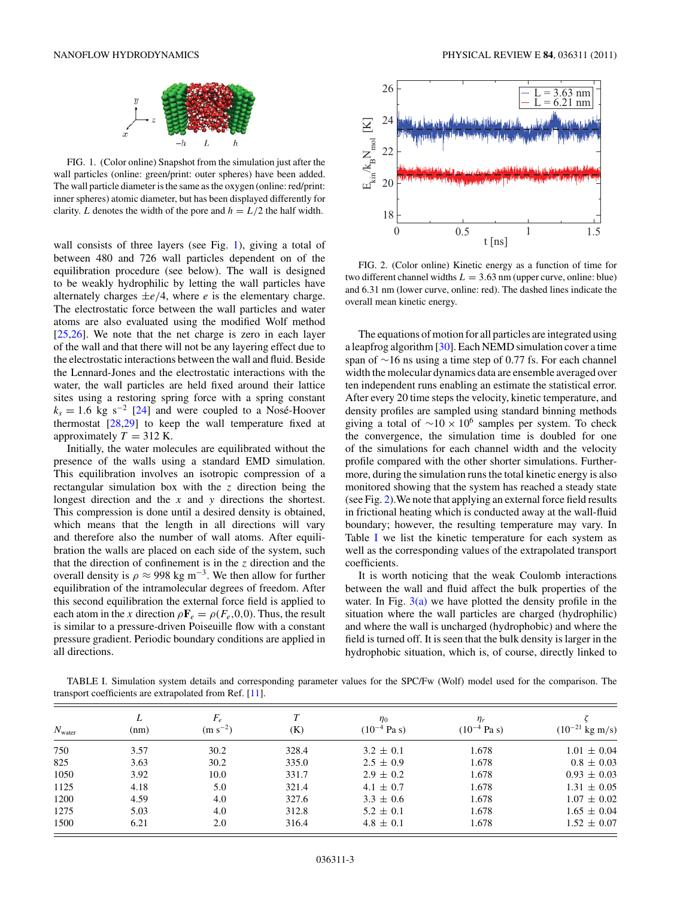<span id="page-2-0"></span>

FIG. 1. (Color online) Snapshot from the simulation just after the wall particles (online: green/print: outer spheres) have been added. The wall particle diameter is the same as the oxygen (online: red/print: inner spheres) atomic diameter, but has been displayed differently for clarity. *L* denotes the width of the pore and  $h = L/2$  the half width.

wall consists of three layers (see Fig. 1), giving a total of between 480 and 726 wall particles dependent on of the equilibration procedure (see below). The wall is designed to be weakly hydrophilic by letting the wall particles have alternately charges  $\pm e/4$ , where *e* is the elementary charge. The electrostatic force between the wall particles and water atoms are also evaluated using the modified Wolf method [\[25,26\]](#page-5-0). We note that the net charge is zero in each layer of the wall and that there will not be any layering effect due to the electrostatic interactions between the wall and fluid. Beside the Lennard-Jones and the electrostatic interactions with the water, the wall particles are held fixed around their lattice sites using a restoring spring force with a spring constant  $k_s = 1.6$  kg s<sup>-2</sup> [\[24\]](#page-5-0) and were coupled to a Nosé-Hoover thermostat  $[28,29]$  to keep the wall temperature fixed at approximately  $T = 312$  K.

Initially, the water molecules are equilibrated without the presence of the walls using a standard EMD simulation. This equilibration involves an isotropic compression of a rectangular simulation box with the *z* direction being the longest direction and the *x* and *y* directions the shortest. This compression is done until a desired density is obtained, which means that the length in all directions will vary and therefore also the number of wall atoms. After equilibration the walls are placed on each side of the system, such that the direction of confinement is in the *z* direction and the overall density is  $\rho \approx 998 \text{ kg m}^{-3}$ . We then allow for further equilibration of the intramolecular degrees of freedom. After this second equilibration the external force field is applied to each atom in the *x* direction  $\rho \mathbf{F}_e = \rho(F_e, 0, 0)$ . Thus, the result is similar to a pressure-driven Poiseuille flow with a constant pressure gradient. Periodic boundary conditions are applied in all directions.



FIG. 2. (Color online) Kinetic energy as a function of time for two different channel widths  $L = 3.63$  nm (upper curve, online: blue) and 6.31 nm (lower curve, online: red). The dashed lines indicate the overall mean kinetic energy.

The equations of motion for all particles are integrated using a leapfrog algorithm [\[30\]](#page-5-0). Each NEMD simulation cover a time span of ∼16 ns using a time step of 0.77 fs. For each channel width the molecular dynamics data are ensemble averaged over ten independent runs enabling an estimate the statistical error. After every 20 time steps the velocity, kinetic temperature, and density profiles are sampled using standard binning methods giving a total of  $\sim$ 10 × 10<sup>6</sup> samples per system. To check the convergence, the simulation time is doubled for one of the simulations for each channel width and the velocity profile compared with the other shorter simulations. Furthermore, during the simulation runs the total kinetic energy is also monitored showing that the system has reached a steady state (see Fig. 2).We note that applying an external force field results in frictional heating which is conducted away at the wall-fluid boundary; however, the resulting temperature may vary. In Table I we list the kinetic temperature for each system as well as the corresponding values of the extrapolated transport coefficients.

It is worth noticing that the weak Coulomb interactions between the wall and fluid affect the bulk properties of the water. In Fig.  $3(a)$  we have plotted the density profile in the situation where the wall particles are charged (hydrophilic) and where the wall is uncharged (hydrophobic) and where the field is turned off. It is seen that the bulk density is larger in the hydrophobic situation, which is, of course, directly linked to

TABLE I. Simulation system details and corresponding parameter values for the SPC/Fw (Wolf) model used for the comparison. The transport coefficients are extrapolated from Ref. [\[11\]](#page-5-0).

| $N_{\text{water}}$ | L<br>(nm) | $F_{\scriptscriptstyle\rm e}$<br>$(m s^{-2})$ | T<br>(K) | $\eta_0$<br>$(10^{-4}$ Pa s) | $\eta_r$<br>$(10^{-4}$ Pa s) | $(10^{-21}$ kg m/s) |
|--------------------|-----------|-----------------------------------------------|----------|------------------------------|------------------------------|---------------------|
| 750                | 3.57      | 30.2                                          | 328.4    | $3.2 \pm 0.1$                | 1.678                        | $1.01 \pm 0.04$     |
| 825                | 3.63      | 30.2                                          | 335.0    | $2.5 \pm 0.9$                | 1.678                        | $0.8 \pm 0.03$      |
| 1050               | 3.92      | 10.0                                          | 331.7    | $2.9 \pm 0.2$                | 1.678                        | $0.93 \pm 0.03$     |
| 1125               | 4.18      | 5.0                                           | 321.4    | $4.1 \pm 0.7$                | 1.678                        | $1.31 \pm 0.05$     |
| 1200               | 4.59      | 4.0                                           | 327.6    | $3.3 \pm 0.6$                | 1.678                        | $1.07 \pm 0.02$     |
| 1275               | 5.03      | 4.0                                           | 312.8    | $5.2 \pm 0.1$                | 1.678                        | $1.65 \pm 0.04$     |
| 1500               | 6.21      | 2.0                                           | 316.4    | $4.8 \pm 0.1$                | 1.678                        | $1.52 \pm 0.07$     |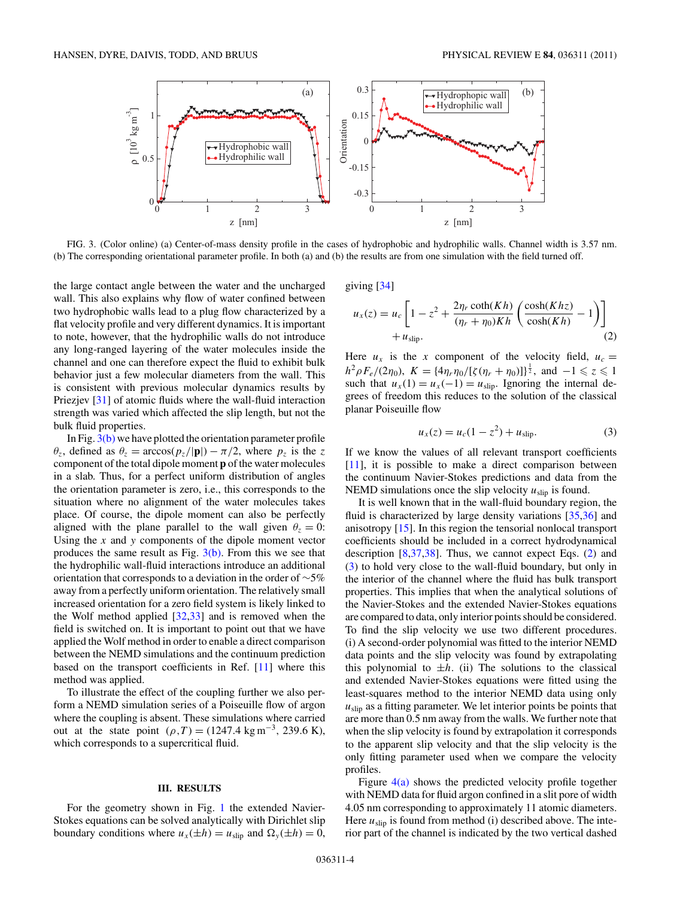<span id="page-3-0"></span>

FIG. 3. (Color online) (a) Center-of-mass density profile in the cases of hydrophobic and hydrophilic walls. Channel width is 3.57 nm. (b) The corresponding orientational parameter profile. In both (a) and (b) the results are from one simulation with the field turned off.

the large contact angle between the water and the uncharged wall. This also explains why flow of water confined between two hydrophobic walls lead to a plug flow characterized by a flat velocity profile and very different dynamics. It is important to note, however, that the hydrophilic walls do not introduce any long-ranged layering of the water molecules inside the channel and one can therefore expect the fluid to exhibit bulk behavior just a few molecular diameters from the wall. This is consistent with previous molecular dynamics results by Priezjev [\[31\]](#page-5-0) of atomic fluids where the wall-fluid interaction strength was varied which affected the slip length, but not the bulk fluid properties.

In Fig.  $3(b)$  we have plotted the orientation parameter profile  $\theta_z$ , defined as  $\theta_z = \arccos(p_z/|\mathbf{p}|) - \pi/2$ , where  $p_z$  is the *z* component of the total dipole moment **p** of the water molecules in a slab. Thus, for a perfect uniform distribution of angles the orientation parameter is zero, i.e., this corresponds to the situation where no alignment of the water molecules takes place. Of course, the dipole moment can also be perfectly aligned with the plane parallel to the wall given  $\theta_z = 0$ : Using the *x* and *y* components of the dipole moment vector produces the same result as Fig.  $3(b)$ . From this we see that the hydrophilic wall-fluid interactions introduce an additional orientation that corresponds to a deviation in the order of ∼5% away from a perfectly uniform orientation. The relatively small increased orientation for a zero field system is likely linked to the Wolf method applied  $[32,33]$  and is removed when the field is switched on. It is important to point out that we have applied the Wolf method in order to enable a direct comparison between the NEMD simulations and the continuum prediction based on the transport coefficients in Ref. [\[11\]](#page-5-0) where this method was applied.

To illustrate the effect of the coupling further we also perform a NEMD simulation series of a Poiseuille flow of argon where the coupling is absent. These simulations where carried out at the state point  $(\rho, T) = (1247.4 \text{ kg m}^{-3}, 239.6 \text{ K})$ , which corresponds to a supercritical fluid.

#### **III. RESULTS**

For the geometry shown in Fig. [1](#page-2-0) the extended Navier-Stokes equations can be solved analytically with Dirichlet slip boundary conditions where  $u_x(\pm h) = u_{\text{slip}}$  and  $\Omega_y(\pm h) = 0$ ,

giving [\[34\]](#page-5-0)

$$
u_x(z) = u_c \left[ 1 - z^2 + \frac{2\eta_r \coth(Kh)}{(\eta_r + \eta_0)Kh} \left( \frac{\cosh(Khz)}{\cosh(Kh)} - 1 \right) \right] + u_{\text{slip}}.
$$
\n(2)

Here  $u_x$  is the *x* component of the velocity field,  $u_c =$  $h^2 \rho F_e/(2\eta_0)$ ,  $K = \{4\eta_r\eta_0/[\zeta(\eta_r + \eta_0)]\}^{\frac{1}{2}}$ , and  $-1 \leq z \leq 1$ such that  $u_x(1) = u_x(-1) = u_{\text{slip}}$ . Ignoring the internal degrees of freedom this reduces to the solution of the classical planar Poiseuille flow

$$
u_x(z) = u_c(1 - z^2) + u_{\text{slip}}.\t(3)
$$

If we know the values of all relevant transport coefficients [\[11\]](#page-5-0), it is possible to make a direct comparison between the continuum Navier-Stokes predictions and data from the NEMD simulations once the slip velocity  $u_{\text{slip}}$  is found.

It is well known that in the wall-fluid boundary region, the fluid is characterized by large density variations [\[35,36\]](#page-5-0) and anisotropy [\[15\]](#page-5-0). In this region the tensorial nonlocal transport coefficients should be included in a correct hydrodynamical description  $[8,37,38]$ . Thus, we cannot expect Eqs.  $(2)$  and (3) to hold very close to the wall-fluid boundary, but only in the interior of the channel where the fluid has bulk transport properties. This implies that when the analytical solutions of the Navier-Stokes and the extended Navier-Stokes equations are compared to data, only interior points should be considered. To find the slip velocity we use two different procedures. (i) A second-order polynomial was fitted to the interior NEMD data points and the slip velocity was found by extrapolating this polynomial to  $\pm h$ . (ii) The solutions to the classical and extended Navier-Stokes equations were fitted using the least-squares method to the interior NEMD data using only  $u<sub>slin</sub>$  as a fitting parameter. We let interior points be points that are more than 0.5 nm away from the walls. We further note that when the slip velocity is found by extrapolation it corresponds to the apparent slip velocity and that the slip velocity is the only fitting parameter used when we compare the velocity profiles.

Figure  $4(a)$  shows the predicted velocity profile together with NEMD data for fluid argon confined in a slit pore of width 4.05 nm corresponding to approximately 11 atomic diameters. Here  $u_{\text{slip}}$  is found from method (i) described above. The interior part of the channel is indicated by the two vertical dashed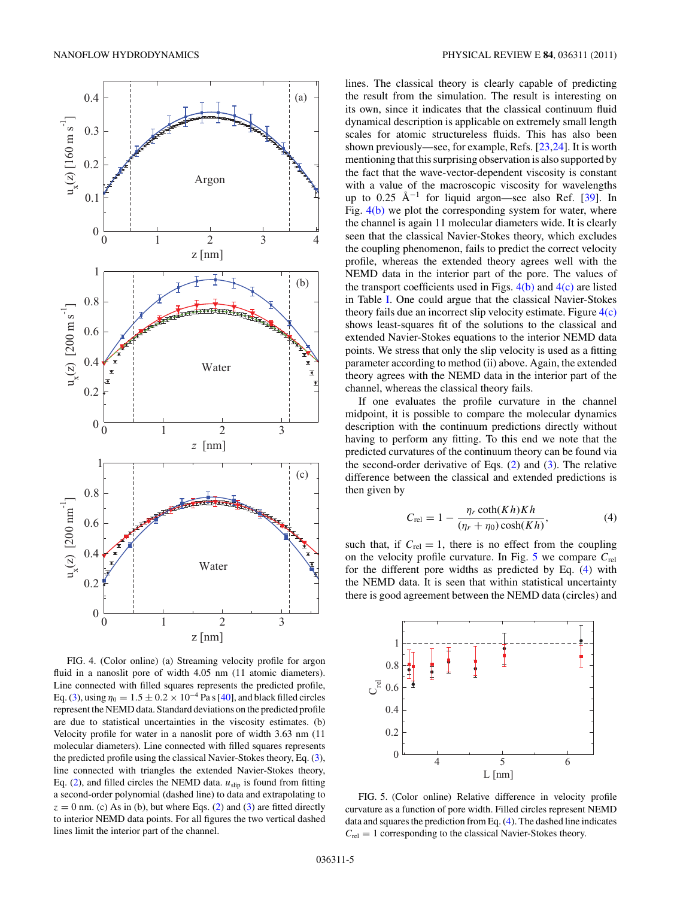<span id="page-4-0"></span>

FIG. 4. (Color online) (a) Streaming velocity profile for argon fluid in a nanoslit pore of width 4.05 nm (11 atomic diameters). Line connected with filled squares represents the predicted profile, Eq. [\(3\)](#page-3-0), using  $\eta_0 = 1.5 \pm 0.2 \times 10^{-4}$  Pa s [\[40\]](#page-5-0), and black filled circles represent the NEMD data. Standard deviations on the predicted profile are due to statistical uncertainties in the viscosity estimates. (b) Velocity profile for water in a nanoslit pore of width 3.63 nm (11 molecular diameters). Line connected with filled squares represents the predicted profile using the classical Navier-Stokes theory, Eq. [\(3\)](#page-3-0), line connected with triangles the extended Navier-Stokes theory, Eq.  $(2)$ , and filled circles the NEMD data.  $u_{\text{slip}}$  is found from fitting a second-order polynomial (dashed line) to data and extrapolating to  $z = 0$  nm. (c) As in (b), but where Eqs. [\(2\)](#page-3-0) and [\(3\)](#page-3-0) are fitted directly to interior NEMD data points. For all figures the two vertical dashed lines limit the interior part of the channel.

lines. The classical theory is clearly capable of predicting the result from the simulation. The result is interesting on its own, since it indicates that the classical continuum fluid dynamical description is applicable on extremely small length scales for atomic structureless fluids. This has also been shown previously—see, for example, Refs. [\[23,24\]](#page-5-0). It is worth mentioning that this surprising observation is also supported by the fact that the wave-vector-dependent viscosity is constant with a value of the macroscopic viscosity for wavelengths up to 0.25  $\AA^{-1}$  for liquid argon—see also Ref. [\[39\]](#page-5-0). In Fig.  $4(b)$  we plot the corresponding system for water, where the channel is again 11 molecular diameters wide. It is clearly seen that the classical Navier-Stokes theory, which excludes the coupling phenomenon, fails to predict the correct velocity profile, whereas the extended theory agrees well with the NEMD data in the interior part of the pore. The values of the transport coefficients used in Figs.  $4(b)$  and  $4(c)$  are listed in Table [I.](#page-2-0) One could argue that the classical Navier-Stokes theory fails due an incorrect slip velocity estimate. Figure  $4(c)$ shows least-squares fit of the solutions to the classical and extended Navier-Stokes equations to the interior NEMD data points. We stress that only the slip velocity is used as a fitting parameter according to method (ii) above. Again, the extended theory agrees with the NEMD data in the interior part of the channel, whereas the classical theory fails.

If one evaluates the profile curvature in the channel midpoint, it is possible to compare the molecular dynamics description with the continuum predictions directly without having to perform any fitting. To this end we note that the predicted curvatures of the continuum theory can be found via the second-order derivative of Eqs.  $(2)$  and  $(3)$ . The relative difference between the classical and extended predictions is then given by

$$
C_{\rm rel} = 1 - \frac{\eta_r \coth(Kh)Kh}{(\eta_r + \eta_0)\cosh(Kh)},\tag{4}
$$

such that, if  $C_{rel} = 1$ , there is no effect from the coupling on the velocity profile curvature. In Fig.  $5$  we compare  $C_{rel}$ for the different pore widths as predicted by Eq. (4) with the NEMD data. It is seen that within statistical uncertainty there is good agreement between the NEMD data (circles) and



FIG. 5. (Color online) Relative difference in velocity profile curvature as a function of pore width. Filled circles represent NEMD data and squares the prediction from Eq. (4). The dashed line indicates  $C_{\text{rel}} = 1$  corresponding to the classical Navier-Stokes theory.